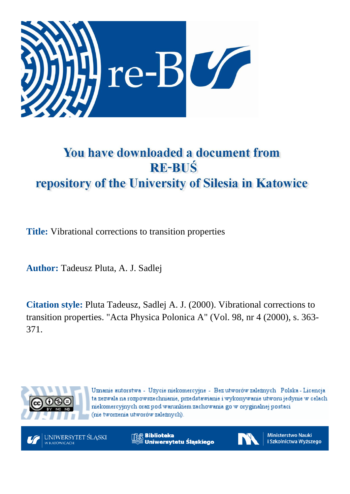

# You have downloaded a document from **RE-BUŚ** repository of the University of Silesia in Katowice

**Title:** Vibrational corrections to transition properties

**Author:** Tadeusz Pluta, A. J. Sadlej

**Citation style:** Pluta Tadeusz, Sadlej A. J. (2000). Vibrational corrections to transition properties. "Acta Physica Polonica A" (Vol. 98, nr 4 (2000), s. 363- 371.



Uznanie autorstwa - Użycie niekomercyjne - Bez utworów zależnych Polska - Licencja ta zezwala na rozpowszechnianie, przedstawianie i wykonywanie utworu jedynie w celach niekomercyjnych oraz pod warunkiem zachowania go w oryginalnej postaci (nie tworzenia utworów zależnych).



**Biblioteka** Uniwersytetu Śląskiego



**Ministerstwo Nauki** i Szkolnictwa Wyższego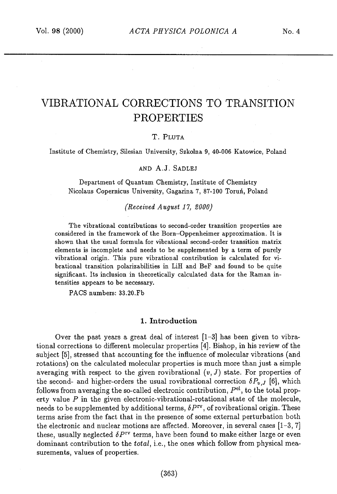## VIBRATIONAL CORRECTIONS TO TRANSITION PROPERTIES

#### T. PLUTA

Institute of Chemistry, Silesian University, Szkolna 9, 40-006 Katowice, Poland

#### AND A.J. SADLEJ

Department of Quantum Chemistry, Institute of Chemistry Nicolaus Copernicus University, Gagarina 7, 87-100 Toruń, Poland

#### *(Received August 17, 2000)*

The vibrational contributions to second-order transition properties are considered in the framework of the Born—Oppenheimer approximation. It is shown that the usual formula for vibrational second-order transition matrix elements is incomplete and needs to be supplemented by a term of purely vibrational origin. This pure vibrational contribution is calculated for vibrational transition polarizabilities in LiH and BeF and found to be quite significant. Its inclusion in theoretically calculated data for the Raman intensities appears to be necessary.

PACS numbers: 33.20.Fó

#### 1. Introduction

Over the past years a great deal of interest  $[1-3]$  has been given to vibrational corrections to different molecular properties *[4].* Bishop, in his review of the subject [5], stressed that accounting for the influence of molecular vibrations (and rotations) on the calculated molecular properties is much more than just a simple averaging with respect to the given rovibrational  $(v, J)$  state. For properties of the second- and higher-orders the usual rovibrational correction  $\delta P_{v,J}$  [6], which follows from averaging the so-called electronic contribution,  $P<sup>el</sup>$ , to the total property value *P* in the given electronic-vibrational-rotational state of the molecule, needs to be supplemented by additional terms, *δPrv,* of rovibrational origin. These terms arise from the fact that in the presence of some external perturbation both the electronic and nuclear motions are affected. Moreover, in several cases [1-3, 7] these, usually neglected *δPΓv* terms, have been found to make either large or even dominant contribution to the *totαl,* i.e., the ones which follow from physical measurements, values of properties.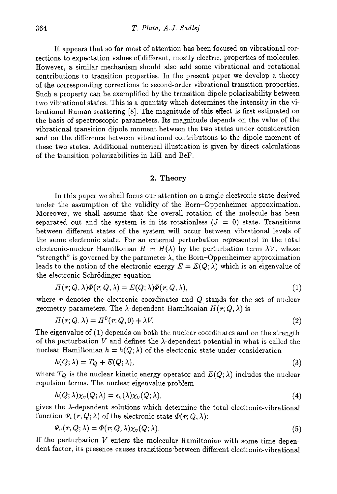It appears that so far most of attention has been focused on vibrational corrections to expectation values of different, mostly electric, properties of molecules. However, a similar mechanism should also add some vibrational and rotational contributions to transition properties. In the present paper we develop a theory of the corresponding corrections to second-order vibrational transition properties. Such a property can be exemplified by the transition dipole polarizability between two vibrational states. This is a quantity which determines the intensity in the vibrational Raman scattering [8]. The magnitude of this effect is first estimated on the basis of spectroscopic parameters. Its magnitude depends on the value of the vibrational transition dipole moment between the two states under consideration and on the difference between vibrational contributions to the dipole moment of these two states. Additional numerical illustration is given by direct calculations of the transition polarizabilities in LiH and BeF.

#### 2. Theory

In this paper we shall focus our attention on a single electronic state derived under the assumption of the validity of the Born—Oppenheimer approximation. Moreover, we shall assume that the overall rotation of the molecule has been separated out and the system is in its rotationless  $(J = 0)$  state. Transitions between different states of the system will occur between vibrational levels of the same electronic state. For an external perturbation represented in the total electronic-nuclear Hamiltonian  $H = H(\lambda)$  by the perturbation term  $\lambda V$ , whose "strength" is governed by the parameter  $\lambda$ , the Born-Oppenheimer approximation leads to the notion of the electronic energy  $E = E(Q; \lambda)$  which is an eigenvalue of the electronic Schrödinger equation

$$
H(r; Q, \lambda)\Phi(r; Q, \lambda) = E(Q; \lambda)\Phi(r; Q, \lambda), \qquad (1)
$$

where *r* denotes the electronic coordinates and *Q* stands for the set of nuclear geometry parameters. The  $\lambda$ -dependent Hamiltonian  $H(r; Q, \lambda)$  is

$$
H(r; Q, \lambda) = H^0(r; Q, 0) + \lambda V. \tag{2}
$$

The eigenvalue of (1) depends on both the nuclear coordinates and on the strength of the perturbation  $V$  and defines the  $\lambda$ -dependent potential in what is called the nuclear Hamiltonian  $h = h(Q; \lambda)$  of the electronic state under consideration

$$
h(Q; \lambda) = T_Q + E(Q; \lambda),\tag{3}
$$

where  $T_Q$  is the nuclear kinetic energy operator and  $E(Q; \lambda)$  includes the nuclear repulsion terms. The nuclear eigenvalue problem

$$
h(Q; \lambda)\chi_v(Q; \lambda) = \epsilon_v(\lambda)\chi_v(Q; \lambda), \qquad (4)
$$

gives the  $\lambda$ -dependent solutions which determine the total electronic-vibrational function  $\Psi_{\nu}(r, Q; \lambda)$  of the electronic state  $\Phi(r; Q, \lambda)$ :

$$
\Psi_v(r, Q; \lambda) = \Phi(r; Q, \lambda) \chi_v(Q; \lambda).
$$
\n(5)

If the perturbation *V* enters the molecular Hamiltonian with some time dependent factor, its presence causes transitions between different electronic-vibrational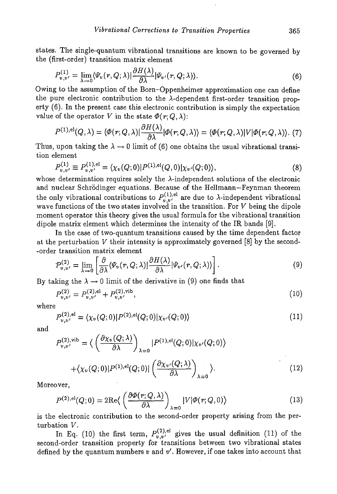states. The single-quantum vibrational transitions are known to be governed by the (first-order) transition matrix element

$$
P_{v,v'}^{(1)} = \lim_{\lambda \to 0} \langle \Psi_v(r, Q; \lambda) | \frac{\partial H(\lambda)}{\partial \lambda} | \Psi_{v'}(r, Q; \lambda) \rangle.
$$
 (6)

Owing to the assumption of the Born—Oppenheimer approximation one can define the pure electronic contribution to the  $\lambda$ -dependent first-order transition property (6). In the present case this electronic contribution is simply the expectation value of the operator V in the state  $\Phi(r; Q, \lambda)$ :

$$
P^{(1),\text{el}}(Q,\lambda) = \langle \Phi(r;Q,\lambda)|\frac{\partial H(\lambda)}{\partial \lambda}|\Phi(r;Q,\lambda)\rangle = \langle \Phi(r;Q,\lambda)|V|\Phi(r;Q,\lambda)\rangle. (7)
$$

Thus, upon taking the  $\lambda \to 0$  limit of (6) one obtains the usual vibrational transition element

$$
P_{v,v'}^{(1)} \equiv P_{v,v'}^{(1),\text{el}} = \langle \chi_v(Q;0) | P^{(1),\text{el}}(Q,0) | \chi_{v'}(Q;0) \rangle, \tag{8}
$$

whose determination requires solely the  $\lambda$ -independent solutions of the electronic and nuclear Schrodinger equations. Because of the Hellmann—Feynman theorem the only vibrational contributions to  $P_{v,v'}^{(1),el}$  are due to  $\lambda$ -independent vibrational wave functions of the two states involved in the transition. For *V* being the dipole moment operator this theory gives the usual formula for the vibrational transition dipole matrix element which determines the intensity of the IR bands [9].

In the case of two-quantum transitions caused by the time dependent factor at the perturbation *V* their intensity is approximately governed [8] by the second- -order transition matrix element

$$
P_{v,v'}^{(2)} = \lim_{\lambda \to 0} \left[ \frac{\partial}{\partial \lambda} \langle \Psi_v(r, Q; \lambda) | \frac{\partial H(\lambda)}{\partial \lambda} | \Psi_{v'}(r, Q; \lambda) \rangle \right]. \tag{9}
$$

By taking the  $\lambda \to 0$  limit of the derivative in (9) one finds that

$$
P_{v,v'}^{(2)} = P_{v,v'}^{(2),\text{el}} + P_{v,v'}^{(2),\text{vib}},\tag{10}
$$

where

$$
P_{v,v'}^{(2),\text{el}} = \langle \chi_v(Q;0) | P^{(2),\text{el}}(Q;0) | \chi_{v'}(Q;0) \rangle \tag{11}
$$

and

$$
P_{v,v'}^{(2),\text{vib}} = \langle \left( \frac{\partial \chi_v(Q; \lambda)}{\partial \lambda} \right)_{\lambda=0} | P^{(1),\text{el}}(Q;0) | \chi_{v'}(Q;0) \rangle
$$

$$
+ \langle \chi_v(Q;0) | P^{(1),\text{el}}(Q;0) | \left( \frac{\partial \chi_{v'}(Q; \lambda)}{\partial \lambda} \right)_{\lambda=0} \rangle. \tag{12}
$$

Moreover,

$$
P^{(2),\text{el}}(Q;0) = 2\text{Re}\left\langle \left(\frac{\partial \Phi(r;Q,\lambda)}{\partial \lambda}\right)_{\lambda=0} |V|\Phi(r;Q,0)\right\rangle \tag{13}
$$

is the electronic contribution to the second-order property arising from the perturbation *V.*

In Eq. (10) the first term,  $P_{v,v'}^{(2),\text{e}}$ second-order transition property for transitions between two vibrational states defined by the quantum numbers v and  $v'$ . However, if one takes into account that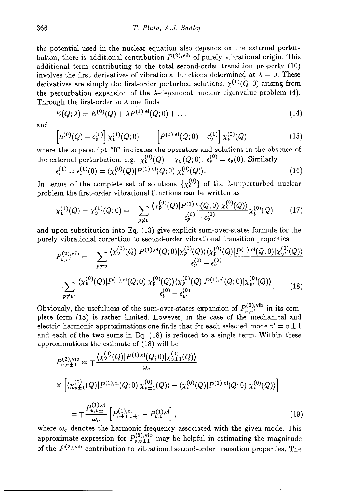the potential used in the nuclear equation also depends on the external perturbation, there is additional contribution  $P^{(2),\text{vib}}$  of purely vibrational origin. This additional term contributing to the total second-order transition property (10) involves the first derivatives of vibrational functions determined at  $\lambda = 0$ . These derivatives are simply the first-order perturbed solutions,  $\chi^{(1)}(Q; 0)$  arising from the perturbation expansion of the  $\lambda$ -dependent nuclear eigenvalue problem (4). Through the first-order in  $\lambda$  one finds

$$
E(Q; \lambda) = E^{(0)}(Q) + \lambda P^{(1),el}(Q; 0) + \dots \tag{14}
$$

and

$$
h^{(0)}(Q) - \epsilon_v^{(0)}\left[\chi_v^{(1)}(Q;0) - \left[P^{(1),\text{el}}(Q;0) - \epsilon_v^{(1)}\right]\chi_v^{(0)}(Q),\right]
$$
\n(15)

where the superscript "0" indicates the operators and solutions in the absence of the external perturbation, e.g.,  $\chi_v^{(0)}(Q) = \chi_v(Q; 0)$ ,  $\epsilon_v^{(0)} = \epsilon_v(0)$ . Similarly,

$$
\epsilon_v^{(1)} = \epsilon_v^{(1)}(0) = \langle \chi_v^{(0)}(Q) | P^{(1),\text{el}}(Q;0) | \chi_v^{(0)}(Q) \rangle. \tag{16}
$$

In terms of the complete set of solutions  $\{\chi_p^{(0)}\}$  of the  $\lambda$ -unperturbed nuclear problem the first-order vibrational functions can be written as

$$
\chi_v^{(1)}(Q) = \chi_v^{(1)}(Q;0) = -\sum_{p \neq v} \frac{\langle \chi_p^{(0)}(Q) | P^{(1),\text{el}}(Q;0) | \chi_v^{(0)}(Q) \rangle}{\epsilon_p^{(0)} - \epsilon_v^{(0)}} \chi_p^{(0)}(Q) \tag{17}
$$

and upon substitution into Eq. (13) give explicit sum-over-states formula for the purely vibrational correction to second-order vibrational transition properties

$$
P_{v,v'}^{(2),\text{vib}} = -\sum_{p \neq v} \frac{\langle \chi_v^{(0)}(Q)|P^{(1),\text{el}}(Q;0)|\chi_p^{(0)}(Q)\rangle \langle \chi_p^{(0)}(Q)|P^{(1),\text{el}}(Q;0)|\chi_{v'}^{(0)}(Q)\rangle}{\epsilon_p^{(0)} - \epsilon_v^{(0)}}
$$

$$
-\sum_{p \neq v'} \frac{\langle \chi_v^{(0)}(Q)|P^{(1),\text{el}}(Q;0)|\chi_p^{(0)}(Q)\rangle \langle \chi_p^{(0)}(Q)|P^{(1),\text{el}}(Q;0)|\chi_{v'}^{(0)}(Q)\rangle}{\epsilon_p^{(0)} - \epsilon_{v'}^{(0)}}.
$$
(18)

Obviously, the usefulness of the sum-over-states expansion of  $P_{v,v'}^{(2),\text{vib}}$  in its complete form (18) is rather limited. However, in the case of the mechanical and electric harmonic approximations one finds that for each selected mode  $v' = v \pm 1$ and each of the two sums in Eq. (18) is reduced to a single term. Within these approximations the estimate of (18) will be

$$
P_{v,v\pm 1}^{(2),\text{vib}} \approx \mp \frac{\langle \chi_v^{(0)}(Q)|P^{(1),\text{el}}(Q;0)|\chi_{v\pm 1}^{(0)}(Q)\rangle}{\omega_{\text{e}}}
$$

$$
\times \left[ \langle \chi_{v\pm 1}^{(0)}(Q)|P^{(1),\text{el}}(Q;0)|\chi_{v\pm 1}^{(0)}(Q)\rangle - \langle \chi_v^{(0)}(Q)|P^{(1),\text{el}}(Q;0)|\chi_v^{(0)}(Q)\rangle \right]
$$

$$
= \mp \frac{P_{v,v\pm 1}^{(1),\text{el}}}{\omega_{\text{e}}} \left[ P_{v\pm 1,v\pm 1}^{(1),\text{el}} - P_{v,v}^{(1),\text{el}} \right], \tag{19}
$$

where  $\omega_e$  denotes the harmonic frequency associated with the given mode. This approximate expression for  $P^{(2),\text{vib}}_{v,v\pm1}$  may be helpful in estimating the magnitude of the *P(2),vib* contribution to vibrational second-order transition properties. The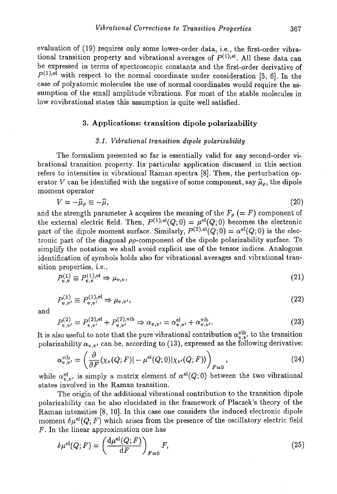evaluation of (19) requires only some lower-order data, i.e., the first-order vibrational transition property and vibrational averages of  $P^{(1),el}$ . All these data can be expressed in terms of spectroscopic constants and the first-order derivative of  $P^{(1),el}$  with respect to the normal coordinate under consideration [5, 6]. In the case of polyatomic molecules the use of normal coordinates would require the assumption of the small amplitude vibrations. For most of the stable molecules in low rovibrational states this assumption is quite well satisfied.

#### **3. Applications: transition dipole polarizability**

#### *3.1. Vibrational transition dipole polarizabilty*

The formalism presented so far is essentially valid for any second-order vibrational transition property. Its particular application discussed in this section refers to intensities in vibrational Raman spectra [8]. Then, the perturbation operator V can be identified with the negative of some component, say  $\hat{\mu}_{\rho}$ , the dipole moment operator

$$
V = -\hat{\mu}_{\rho} \equiv -\hat{\mu},\tag{20}
$$

and the strength parameter  $\lambda$  acquires the meaning of the  $F_{\rho}$  (= F) component of the external electric field. Then,  $P^{(1),\text{el}}(Q; 0) = \mu^{\text{el}}(Q; 0)$  becomes the electronic part of the dipole moment surface. Similarly,  $P^{(2),el}(Q; 0) = \alpha^{el}(Q; 0)$  is the electronic part of the diagonal  $\rho\rho$ -component of the dipole polarizability surface. To simplify the notation we shall avoid explicit use of the tensor indices. Analogous identification of symbols holds also for vibrational averages and vibrational transition properties, i.e.,

$$
P_{v,v}^{(1)} \equiv P_{v,v}^{(1),\text{el}} \Rightarrow \mu_{v,v},\tag{21}
$$

$$
P_{v,v'}^{(1)} \equiv P_{v,v'}^{(1),\text{el}} \Rightarrow \mu_{v,v'},\tag{22}
$$

and

$$
P_{v,v'}^{(2)} = P_{v,v'}^{(2),\text{el}} + P_{v,v'}^{(2),\text{vib}} \Rightarrow \alpha_{v,v'} = \alpha_{v,v'}^{\text{el}} + \alpha_{v,v'}^{\text{vib}}.
$$
\n
$$
(23)
$$

It is also useful to note that the pure vibrational contribution  $\alpha_{v,v'}^{\text{vib}}$ , to the transition polarizability  $\alpha_{v,v'}$  can be, according to (13), expressed as the following derivative:

$$
\alpha_{v,v'}^{\text{vib}} = \left(\frac{\partial}{\partial F}\langle \chi_v(Q;F)| - \mu^{\text{el}}(Q;0) | \chi_{v'}(Q;F) \rangle \right)_{F=0},\tag{24}
$$

while  $\alpha_{v,v}^{el}$ , is simply a matrix element of  $\alpha^{el}(Q;0)$  between the two vibrational states involved in the Raman transition.

The origin of the additional vibrational contribution to the transition dipole polarizability can be also elucidated in the framework of Placzek's theory of the Raman intensities [8, 10]. In this case one considers the induced electronic dipole moment  $\delta \mu^{el}(Q; F)$  which arises from the presence of the oscillatory electric field *F.* In the linear approximation one has

$$
\delta \mu^{\text{el}}(Q; F) = \left(\frac{\mathrm{d}\mu^{\text{el}}(Q; F)}{\mathrm{d}F}\right)_{F=0} F,\tag{25}
$$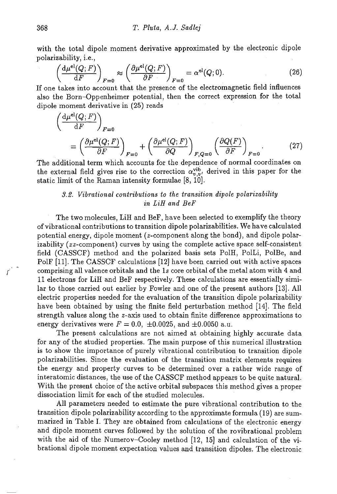with the total dipole moment derivative approximated by the electronic dipole polarizability. i.e..

$$
\left(\frac{d\mu^{el}(Q;F)}{dF}\right)_{F=0} \approx \left(\frac{\partial \mu^{el}(Q;F)}{\partial F}\right)_{F=0} = \alpha^{el}(Q;0). \tag{26}
$$

If one takes into account that the presence of the electromagnetic field influences also the Born—Oppenheimer potential, then the correct expression for the total dipole moment derivative in (25) reads

$$
\left(\frac{d\mu^{el}(Q;F)}{dF}\right)_{F=0}
$$
\n
$$
= \left(\frac{\partial \mu^{el}(Q;F)}{\partial F}\right)_{F=0} + \left(\frac{\partial \mu^{el}(Q;F)}{\partial Q}\right)_{F,Q=0} \left(\frac{\partial Q(F)}{\partial F}\right)_{F=0}.
$$
\n(27)

The additional term which accounts for the dependence of normal coordinates on the external field gives rise to the correction  $\alpha_{v,v'}^{\text{vib}}$  derived in this paper for the static limit of the Raman intensity formulae [8, 10].

### *3.2. Vibrational contributions to the transition dipole polarizabilty in LiH and BeF*

The two molecules, LiH and BeF, have been selected to exemplify the theory of vibrational contributions to transition dipole polarizabilities. We have calculated potential energy, dipole moment (z-component along the bond), and dipole polarizability (zz-component) curves by using the complete active space self-consistent field (CASSCF) method and the polarized basis sets Poili, PolLi, PolBe, and PolF [11]. The CASSCF calculations [12] have been carried out with active spaces comprising all valence orbitals and the is core orbital of the metal atom with 4 and 11 electrons for LiH and BeF respectively. These calculations are essentially similar to those carried out earlier by Fowler and one of the present authors [13]. All electric properties needed for the evaluation of the transition dipole polarizability have been obtained by using the finite field perturbation method [14]. The field strength values along the z-axis used to obtain finite difference approximations to energy derivatives were  $F = 0.0, \pm 0.0025, \text{ and } \pm 0.0050 \text{ a.u.}$ 

The present calculations are not aimed at obtaining highly accurate data for any of the studied properties. The main purpose of this numerical illustration is to show the importance of purely vibrational contribution to transition dipole polarizabilities. Since the evaluation of the transition matrix elements requires the energy and property curves to be determined over a rather wide range of interatomic distances, the use of the CASSCF method appears to be quite natural. With the present choice of the active orbital subspaces this method gives a proper dissociation limit for each of the studied molecules.

All parameters needed to estimate the pure vibrational contribution to the transition dipole polarizability according to the approximate formula (19) are summarized in Table I. They are obtained from calculations of the electronic energy and dipole moment curves followed by the solution of the rovibrational problem with the aid of the Numerov—Cooley method [12, 15] and calculation of the vibrational dipole moment expectation values and transition dipoles. The electronic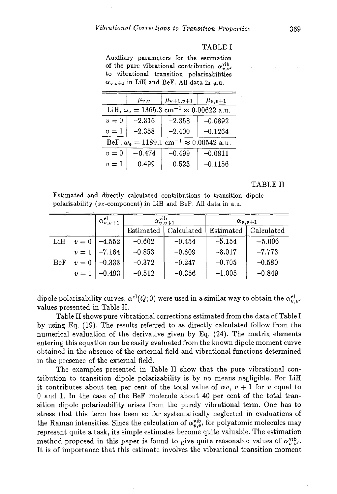#### TABLE I

Auxiliary parameters for the estimation of the pure vibrational contribution  $\alpha_{n,n'}^{\text{vib}}$ to vibrational transition polarizabilities  $\alpha_{v,v\pm 1}$  in LiH and BeF. All data in a.u.

|                                                                       | $\mu_{v,v}$ | $\mu_{v+1,v+1}$ | $\mu_{v,v+1}$ |  |  |  |  |  |
|-----------------------------------------------------------------------|-------------|-----------------|---------------|--|--|--|--|--|
| LiH, $\omega_e = 1365.3 \text{ cm}^{-1} \approx 0.00622 \text{ a.u.}$ |             |                 |               |  |  |  |  |  |
| $v=0$                                                                 | $-2.316$    | $-2.358$        | $-0.0892$     |  |  |  |  |  |
| $v=1$                                                                 | $-2.358$    | $-2.400$        | $-0.1264$     |  |  |  |  |  |
| BeF, $\omega_e = 1189.1 \text{ cm}^{-1} \approx 0.00542 \text{ a.u.}$ |             |                 |               |  |  |  |  |  |
| $v=0$                                                                 | $-0.474$    | $-0.499$        | $-0.0811$     |  |  |  |  |  |
| $-0.499$<br>$v=1$                                                     |             | $-0.523$        | $-0.1156$     |  |  |  |  |  |

#### **TABLE II**

Estimated and directly calculated contributions to transition dipole polarizability (zz-component) in LiH and BeF. All data in a.u.

|     |       | $\alpha_{v,v+1}^{\text{el}}$ | $\alpha_{v,v+1}^{\text{vib}}$ |            | $\alpha_{v,v+1}$ |            |
|-----|-------|------------------------------|-------------------------------|------------|------------------|------------|
|     |       |                              | Estimated                     | Calculated | Estimated        | Calculated |
| LiH | $v=0$ | $-4.552$                     | $-0.602$                      | $-0.454$   | $-5.154$         | $-5.006$   |
|     | $v=1$ | $-7.164$                     | $-0.853$                      | $-0.609$   | $-8.017$         | $-7.773$   |
| BeF | $v=0$ | $-0.333$                     | $-0.372$                      | $-0.247$   | $-0.705$         | $-0.580$   |
|     | $v=1$ | $ -0.493$                    | $-0.512$                      | $-0.356$   | $-1.005$         | $-0.849$   |

dipole polarizability curves,  $\alpha^{el}(Q; 0)$  were used in a similar way to obtain the  $\alpha_{v,v'}^{el}$ values presented in Table II.

Table II shows pure vibrational corrections estimated from the data of Table I by using Eq. (19). The results referred to as directly calculated follow from the numerical evaluation of the derivative given by Eq. (24). The matrix elements entering this equation can be easily evaluated from the known dipole moment curve obtained in the absence of the external field and vibrational functions determined in the presence of the external field.

The examples presented in Table II show that the pure vibrational contribution to transition dipole polarizability is by no means negligible. For LiH it contributes about ten per cent of the total value of  $\alpha v$ ,  $v + 1$  for v equal to 0 and 1. In the case of the BeF molecule about 40 per cent of the total transition dipole polarizability arises from the purely vibrational term. One has to stress that this term has been so far systematically neglected in evaluations of the Raman intensities. Since the calculation of  $\alpha_{v,v'}^{\text{vib}}$ , for polyatomic molecules may represent quite a task, its simple estimates become quite valuable. The estimation method proposed in this paper is found to give quite reasonable values of  $\alpha_{n,v'}^{\text{vib}}$ . It is of importance that this estimate involves the vibrational transition moment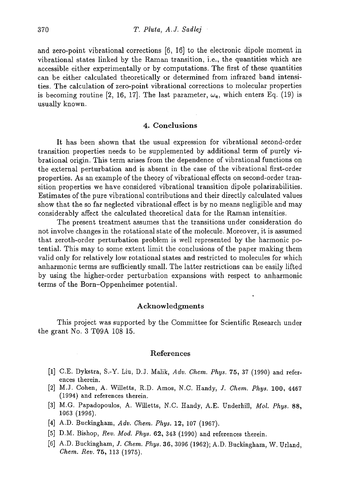and zero-point vibrational corrections [6, 16] to the electronic dipole moment in vibrational states linked by the Raman transition, i.e., the quantities which are accessible either experimentally or by computations. The first of these quantities can be either calculated theoretically or determined from infrared band intensities. The calculation of zero-point vibrational corrections to molecular properties is becoming routine [2, 16, 17]. The last parameter,  $\omega_e$ , which enters Eq. (19) is usually known.

#### 4. Conclusions

It has been shown that the usual expression for vibrational second-order transition properties needs to be supplemented by additional term of purely vibrational origin. This term arises from the dependence of vibrational functions on the external perturbation and is absent in the case of the vibrational first-order properties. As an example of the theory of vibrational effects on second-order transition properties we have considered vibrational transition dipole polarizabilities. Estimates of the pure vibrational contributions and their directly calculated values show that the so far neglected vibrational effect is by no means negligible and may considerably affect the calculated theoretical data for the Raman intensities.

The present treatment assumes that the transitions under consideration do not involve changes in the rotational state of the molecule. Moreover, it is assumed that zeroth-order perturbation problem is well represented by the harmonic potential. This may to some extent limit the conclusions of the paper making them valid only for relatively low rotational states and restricted to molecules for which anharmonic terms are sufficiently small. The latter restrictions can be easily lifted by using the higher-order perturbation expansions with respect to anharmonic terms of the Born—Oppenheimer potential.

#### Acknowledgments

This project was supported by the Committee for Scientific Research under the grant No. 3 T09A 108 15.

#### References

- [1] C.E. Dykstra, S.-Y. Liu, D.J. Malik, *Adv. Chem. Phys.* 75, 37 (1990) and references therein.
- [2] M.J. Cohen, A. Willetts, R.D. Amos, N.C. Handy, *J. Chem. Phys. 100,* 4467 (1994) and references therein.
- [3] M.G. Papadopoulos, A. Willetts, N.C. Handy, A.E. Underhill, *Mol. Phys.* 88, 1063 (1996).
- [4] A.D. Buckingham, *Adv. Chem. Phys.* 12, 107 (1967).
- [5] D.M. Bishop, Rev. *Mod. Phys.* 62, 343 (1990) and references therein.
- [6] A.D. Buckingham, *J. Chem. Phys.* 36, 3096 (1962); A.D. Buckingham, W. Urland, *Chem. Rev.* 75, 113 (1975).